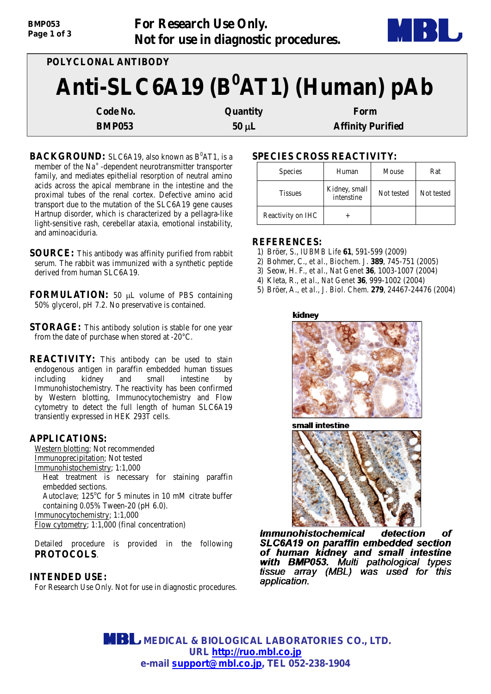| <b>BMP053</b> | For Research Use Only.                | MBL |
|---------------|---------------------------------------|-----|
| Page 1 of 3   | Not for use in diagnostic procedures. |     |

| POLYCLONAL ANTIBODY                   |            |                          |  |  |
|---------------------------------------|------------|--------------------------|--|--|
| Anti-SLC6A19 ( $B^0$ AT1) (Human) pAb |            |                          |  |  |
| Code No.                              | Quantity   | Form                     |  |  |
| <b>BMP053</b>                         | $50 \mu L$ | <b>Affinity Purified</b> |  |  |

- **BACKGROUND:** SLC6A19, also known as B<sup>0</sup>AT1, is a member of the Na<sup>+</sup> -dependent neurotransmitter transporter family, and mediates epithelial resorption of neutral amino acids across the apical membrane in the intestine and the proximal tubes of the renal cortex. Defective amino acid transport due to the mutation of the SLC6A19 gene causes Hartnup disorder, which is characterized by a pellagra-like light-sensitive rash, cerebellar ataxia, emotional instability, and aminoaciduria.
- **SOURCE:** This antibody was affinity purified from rabbit serum. The rabbit was immunized with a synthetic peptide derived from human SLC6A19.
- **FORMULATION:** 50 µL volume of PBS containing 50% glycerol, pH 7.2. No preservative is contained.
- **STORAGE:** This antibody solution is stable for one year from the date of purchase when stored at -20°C.
- **REACTIVITY:** This antibody can be used to stain endogenous antigen in paraffin embedded human tissues including kidney and small intestine by Immunohistochemistry. The reactivity has been confirmed by Western blotting, Immunocytochemistry and Flow cytometry to detect the full length of human SLC6A19 transiently expressed in HEK 293T cells.

## **APPLICATIONS:**

Western blotting; Not recommended Immunoprecipitation; Not tested

Immunohistochemistry; 1:1,000

Heat treatment is necessary for staining paraffin embedded sections.

Autoclave; 125°C for 5 minutes in 10 mM citrate buffer containing 0.05% Tween-20 (pH 6.0).

Immunocytochemistry; 1:1,000

Flow cytometry; 1:1,000 (final concentration)

Detailed procedure is provided in the following **PROTOCOLS**.

## **INTENDED USE:**

For Research Use Only. Not for use in diagnostic procedures.

# **SPECIES CROSS REACTIVITY:**

| <b>Species</b>    | Human                       | Mouse      | Rat        |
|-------------------|-----------------------------|------------|------------|
| <b>Tissues</b>    | Kidney, small<br>intenstine | Not tested | Not tested |
| Reactivity on IHC |                             |            |            |

## **REFERENCES:**

- 1) Bröer, S., *IUBMB Life* **61**, 591-599 (2009)
- 2) Bohmer, C., *et al., Biochem. J*. **389**, 745-751 (2005)
- 3) Seow, H. F., *et al., Nat Genet* **36**, 1003-1007 (2004)
- 4) Kleta, R., *et al., Nat Genet* **36**, 999-1002 (2004)
- 5) Bröer, A., *et al., J. Biol. Chem*. **279**, 24467-24476 (2004)

#### kidnev







**Immunohistochemical** detection of SLC6A19 on paraffin embedded section of human kidney and small intestine **with BMP053.** Multi pathological types tissue array (MBL) was used for this application.

 **MEDICAL & BIOLOGICAL LABORATORIES CO., LTD. URL [http://ruo.mbl.co.jp](http://ruo.mbl.co.jp/) e-mail support@mbl.co.jp, TEL 052-238-1904**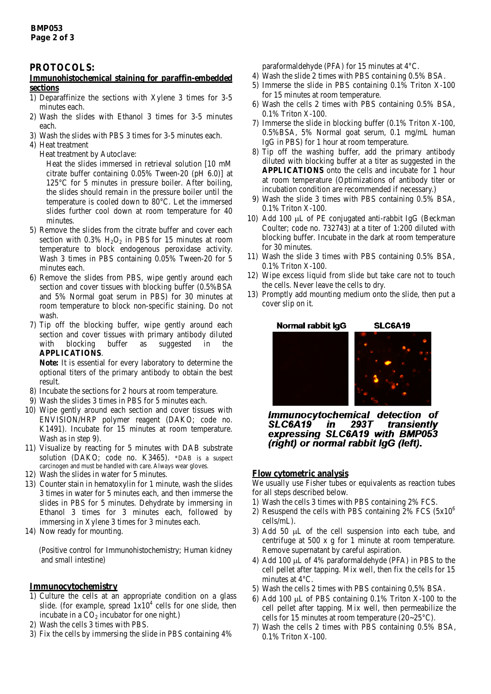## **PROTOCOLS:**

#### **Immunohistochemical staining for paraffin-embedded sections**

- 1) Deparaffinize the sections with Xylene 3 times for 3-5 minutes each.
- 2) Wash the slides with Ethanol 3 times for 3-5 minutes each.
- 3) Wash the slides with PBS 3 times for 3-5 minutes each.
- 4) Heat treatment
	- Heat treatment by Autoclave:

Heat the slides immersed in retrieval solution [10 mM citrate buffer containing 0.05% Tween-20 (pH 6.0)] at 125°C for 5 minutes in pressure boiler. After boiling, the slides should remain in the pressure boiler until the temperature is cooled down to 80°C. Let the immersed slides further cool down at room temperature for 40 minutes.

- 5) Remove the slides from the citrate buffer and cover each section with  $0.3\%$  H<sub>2</sub>O<sub>2</sub> in PBS for 15 minutes at room temperature to block endogenous peroxidase activity. Wash 3 times in PBS containing 0.05% Tween-20 for 5 minutes each.
- 6) Remove the slides from PBS, wipe gently around each section and cover tissues with blocking buffer (0.5%BSA and 5% Normal goat serum in PBS) for 30 minutes at room temperature to block non-specific staining. Do not wash.
- 7) Tip off the blocking buffer, wipe gently around each section and cover tissues with primary antibody diluted with blocking buffer as suggested in the **APPLICATIONS**.

**Note:** It is essential for every laboratory to determine the optional titers of the primary antibody to obtain the best result.

- 8) Incubate the sections for 2 hours at room temperature.
- 9) Wash the slides 3 times in PBS for 5 minutes each.
- 10) Wipe gently around each section and cover tissues with ENVISION/HRP polymer reagent (DAKO; code no. K1491). Incubate for 15 minutes at room temperature. Wash as in step 9).
- 11) Visualize by reacting for 5 minutes with DAB substrate solution (DAKO; code no. K3465). \*DAB is a suspect carcinogen and must be handled with care. Always wear gloves.
- 12) Wash the slides in water for 5 minutes.
- 13) Counter stain in hematoxylin for 1 minute, wash the slides 3 times in water for 5 minutes each, and then immerse the slides in PBS for 5 minutes. Dehydrate by immersing in Ethanol 3 times for 3 minutes each, followed by immersing in Xylene 3 times for 3 minutes each.
- 14) Now ready for mounting.

(Positive control for Immunohistochemistry; Human kidney and small intestine)

#### **Immunocytochemistry**

- 1) Culture the cells at an appropriate condition on a glass slide. (for example, spread  $1x10^4$  cells for one slide, then incubate in a  $CO<sub>2</sub>$  incubator for one night.)
- 2) Wash the cells 3 times with PBS.
- 3) Fix the cells by immersing the slide in PBS containing 4%

paraformaldehyde (PFA) for 15 minutes at 4°C.

- 4) Wash the slide 2 times with PBS containing 0.5% BSA.
- 5) Immerse the slide in PBS containing 0.1% Triton X-100 for 15 minutes at room temperature.
- 6) Wash the cells 2 times with PBS containing 0.5% BSA, 0.1% Triton X-100.
- 7) Immerse the slide in blocking buffer (0.1% Triton X-100, 0.5%BSA, 5% Normal goat serum, 0.1 mg/mL human IgG in PBS) for 1 hour at room temperature.
- 8) Tip off the washing buffer, add the primary antibody diluted with blocking buffer at a titer as suggested in the **APPLICATIONS** onto the cells and incubate for 1 hour at room temperature (Optimizations of antibody titer or incubation condition are recommended if necessary.)
- 9) Wash the slide 3 times with PBS containing 0.5% BSA, 0.1% Triton X-100.
- 10) Add 100 µL of PE conjugated anti-rabbit IgG (Beckman Coulter; code no. 732743) at a titer of 1:200 diluted with blocking buffer. Incubate in the dark at room temperature for 30 minutes.
- 11) Wash the slide 3 times with PBS containing 0.5% BSA, 0.1% Triton X-100.
- 12) Wipe excess liquid from slide but take care not to touch the cells. Never leave the cells to dry.
- 13) Promptly add mounting medium onto the slide, then put a cover slip on it.



Immunocytochemical detection of 293T SLC6A19 in transiently expressing SLC6A19 with BMP053 (right) or normal rabbit IgG (left).

#### **Flow cytometric analysis**

We usually use Fisher tubes or equivalents as reaction tubes for all steps described below.

- 1) Wash the cells 3 times with PBS containing 2% FCS.
- 2) Resuspend the cells with PBS containing  $2\%$  FCS  $(5x10^6)$ cells/mL).
- 3) Add 50 µL of the cell suspension into each tube, and centrifuge at 500 x g for 1 minute at room temperature. Remove supernatant by careful aspiration.
- 4) Add 100 µL of 4% paraformaldehyde (PFA) in PBS to the cell pellet after tapping. Mix well, then fix the cells for 15 minutes at 4°C.
- 5) Wash the cells 2 times with PBS containing 0,5% BSA.
- 6) Add 100 µL of PBS containing 0.1% Triton X-100 to the cell pellet after tapping. Mix well, then permeabilize the cells for 15 minutes at room temperature (20~25°C).
- 7) Wash the cells 2 times with PBS containing 0.5% BSA, 0.1% Triton X-100.